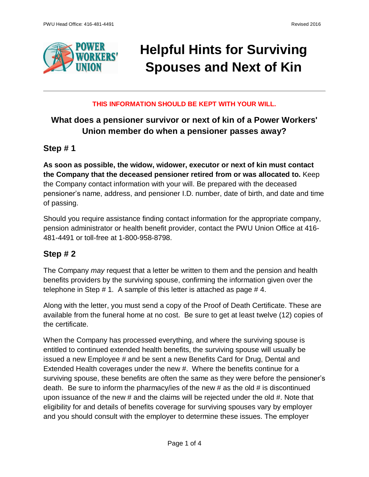

# **Helpful Hints for Surviving Spouses and Next of Kin**

#### **THIS INFORMATION SHOULD BE KEPT WITH YOUR WILL.**

# **What does a pensioner survivor or next of kin of a Power Workers' Union member do when a pensioner passes away?**

### **Step # 1**

**As soon as possible, the widow, widower, executor or next of kin must contact the Company that the deceased pensioner retired from or was allocated to.** Keep the Company contact information with your will. Be prepared with the deceased pensioner's name, address, and pensioner I.D. number, date of birth, and date and time of passing.

Should you require assistance finding contact information for the appropriate company, pension administrator or health benefit provider, contact the PWU Union Office at 416- 481-4491 or toll-free at 1-800-958-8798.

## **Step # 2**

The Company *may* request that a letter be written to them and the pension and health benefits providers by the surviving spouse, confirming the information given over the telephone in Step # 1. A sample of this letter is attached as page # 4.

Along with the letter, you must send a copy of the Proof of Death Certificate. These are available from the funeral home at no cost. Be sure to get at least twelve (12) copies of the certificate.

When the Company has processed everything, and where the surviving spouse is entitled to continued extended health benefits, the surviving spouse will usually be issued a new Employee # and be sent a new Benefits Card for Drug, Dental and Extended Health coverages under the new #. Where the benefits continue for a surviving spouse, these benefits are often the same as they were before the pensioner's death. Be sure to inform the pharmacy/ies of the new # as the old # is discontinued upon issuance of the new # and the claims will be rejected under the old #. Note that eligibility for and details of benefits coverage for surviving spouses vary by employer and you should consult with the employer to determine these issues. The employer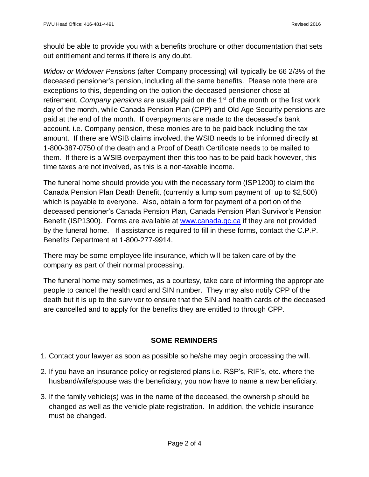should be able to provide you with a benefits brochure or other documentation that sets out entitlement and terms if there is any doubt.

*Widow or Widower Pensions* (after Company processing) will typically be 66 2/3% of the deceased pensioner's pension, including all the same benefits. Please note there are exceptions to this, depending on the option the deceased pensioner chose at retirement. Company pensions are usually paid on the 1<sup>st</sup> of the month or the first work day of the month, while Canada Pension Plan (CPP) and Old Age Security pensions are paid at the end of the month. If overpayments are made to the deceased's bank account, i.e. Company pension, these monies are to be paid back including the tax amount. If there are WSIB claims involved, the WSIB needs to be informed directly at 1-800-387-0750 of the death and a Proof of Death Certificate needs to be mailed to them. If there is a WSIB overpayment then this too has to be paid back however, this time taxes are not involved, as this is a non-taxable income.

The funeral home should provide you with the necessary form (ISP1200) to claim the Canada Pension Plan Death Benefit, (currently a lump sum payment of up to \$2,500) which is payable to everyone. Also, obtain a form for payment of a portion of the deceased pensioner's Canada Pension Plan, Canada Pension Plan Survivor's Pension Benefit (ISP1300). Forms are available at [www.canada.gc.ca](http://www.canada.gc.ca/) if they are not provided by the funeral home. If assistance is required to fill in these forms, contact the C.P.P. Benefits Department at 1-800-277-9914.

There may be some employee life insurance, which will be taken care of by the company as part of their normal processing.

The funeral home may sometimes, as a courtesy, take care of informing the appropriate people to cancel the health card and SIN number. They may also notify CPP of the death but it is up to the survivor to ensure that the SIN and health cards of the deceased are cancelled and to apply for the benefits they are entitled to through CPP.

#### **SOME REMINDERS**

- 1. Contact your lawyer as soon as possible so he/she may begin processing the will.
- 2. If you have an insurance policy or registered plans i.e. RSP's, RIF's, etc. where the husband/wife/spouse was the beneficiary, you now have to name a new beneficiary.
- 3. If the family vehicle(s) was in the name of the deceased, the ownership should be changed as well as the vehicle plate registration. In addition, the vehicle insurance must be changed.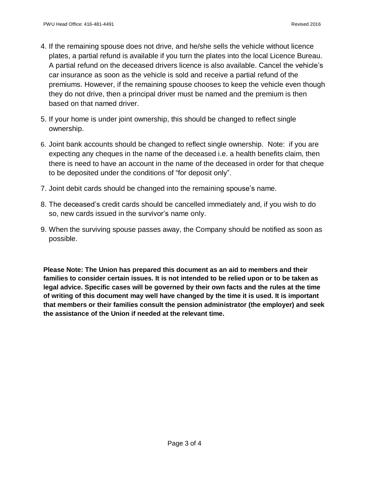- 4. If the remaining spouse does not drive, and he/she sells the vehicle without licence plates, a partial refund is available if you turn the plates into the local Licence Bureau. A partial refund on the deceased drivers licence is also available. Cancel the vehicle's car insurance as soon as the vehicle is sold and receive a partial refund of the premiums. However, if the remaining spouse chooses to keep the vehicle even though they do not drive, then a principal driver must be named and the premium is then based on that named driver.
- 5. If your home is under joint ownership, this should be changed to reflect single ownership.
- 6. Joint bank accounts should be changed to reflect single ownership. Note: if you are expecting any cheques in the name of the deceased i.e. a health benefits claim, then there is need to have an account in the name of the deceased in order for that cheque to be deposited under the conditions of "for deposit only".
- 7. Joint debit cards should be changed into the remaining spouse's name.
- 8. The deceased's credit cards should be cancelled immediately and, if you wish to do so, new cards issued in the survivor's name only.
- 9. When the surviving spouse passes away, the Company should be notified as soon as possible.

**Please Note: The Union has prepared this document as an aid to members and their families to consider certain issues. It is not intended to be relied upon or to be taken as legal advice. Specific cases will be governed by their own facts and the rules at the time of writing of this document may well have changed by the time it is used. It is important that members or their families consult the pension administrator (the employer) and seek the assistance of the Union if needed at the relevant time.**